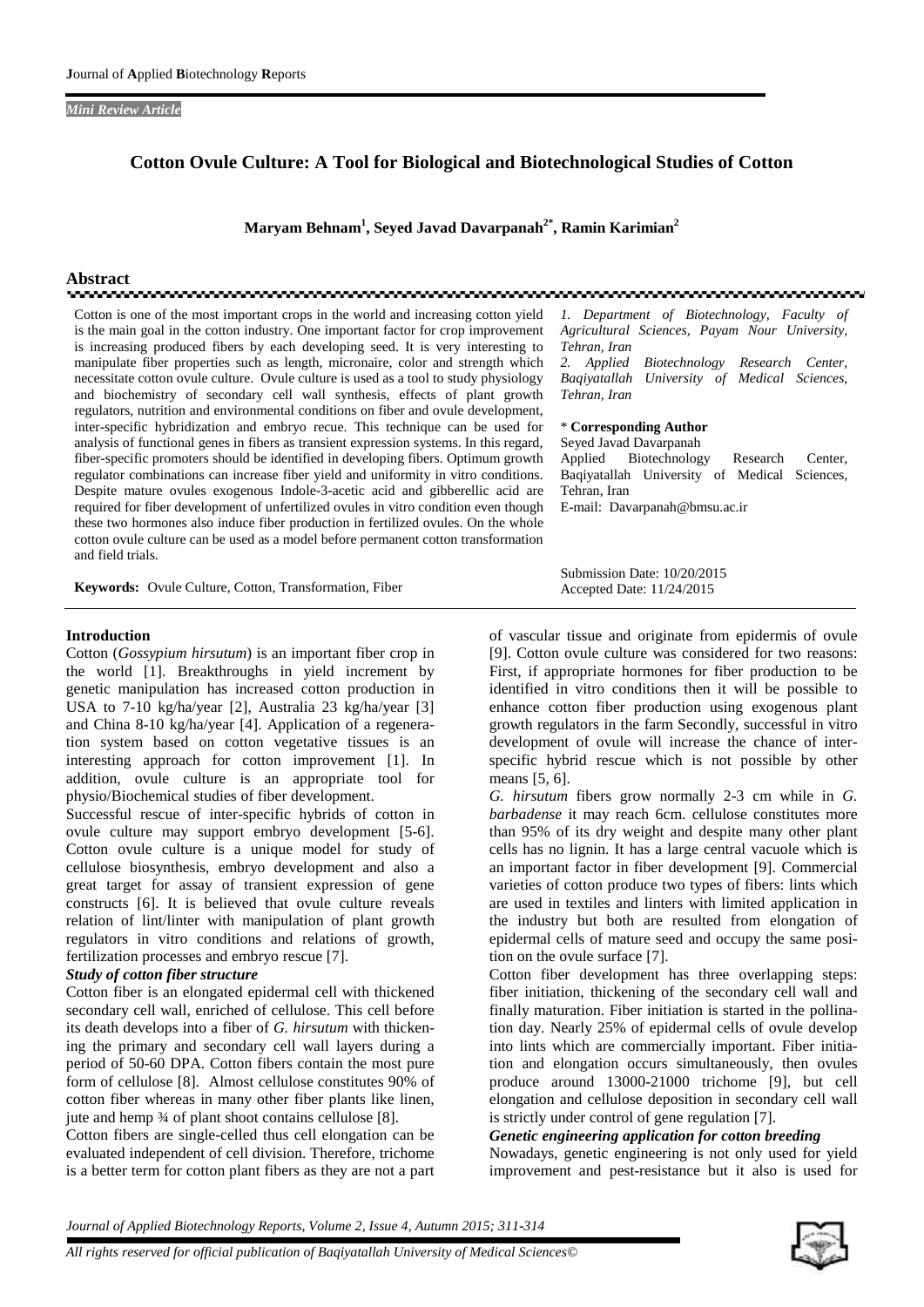#### *Mini Review Article*

## **Cotton Ovule Culture: A Tool for Biological and Biotechnological Studies of Cotton**

**Maryam Behnam<sup>1</sup> , Seyed Javad Davarpanah2\*, Ramin Karimian<sup>2</sup>**

# **Abstract**

Cotton is one of the most important crops in the world and increasing cotton yield is the main goal in the cotton industry. One important factor for crop improvement is increasing produced fibers by each developing seed. It is very interesting to manipulate fiber properties such as length, micronaire, color and strength which necessitate cotton ovule culture. Ovule culture is used as a tool to study physiology and biochemistry of secondary cell wall synthesis, effects of plant growth regulators, nutrition and environmental conditions on fiber and ovule development, inter-specific hybridization and embryo recue. This technique can be used for analysis of functional genes in fibers as transient expression systems. In this regard, fiber-specific promoters should be identified in developing fibers. Optimum growth regulator combinations can increase fiber yield and uniformity in vitro conditions. Despite mature ovules exogenous Indole-3-acetic acid and gibberellic acid are required for fiber development of unfertilized ovules in vitro condition even though these two hormones also induce fiber production in fertilized ovules. On the whole cotton ovule culture can be used as a model before permanent cotton transformation and field trials.

**Keywords:** Ovule Culture, Cotton, Transformation, Fiber

#### **Introduction**

Cotton (*Gossypium hirsutum*) is an important fiber crop in the world [1]. Breakthroughs in yield increment by genetic manipulation has increased cotton production in USA to 7-10 kg/ha/year [2], Australia 23 kg/ha/year [3] and China 8-10 kg/ha/year [4]. Application of a regeneration system based on cotton vegetative tissues is an interesting approach for cotton improvement [1]. In addition, ovule culture is an appropriate tool for physio/Biochemical studies of fiber development.

Successful rescue of inter-specific hybrids of cotton in ovule culture may support embryo development [5-6]. Cotton ovule culture is a unique model for study of cellulose biosynthesis, embryo development and also a great target for assay of transient expression of gene constructs [6]. It is believed that ovule culture reveals relation of lint/linter with manipulation of plant growth regulators in vitro conditions and relations of growth, fertilization processes and embryo rescue [7].

#### *Study of cotton fiber structure*

Cotton fiber is an elongated epidermal cell with thickened secondary cell wall, enriched of cellulose. This cell before its death develops into a fiber of *G. hirsutum* with thickening the primary and secondary cell wall layers during a period of 50-60 DPA. Cotton fibers contain the most pure form of cellulose [8]. Almost cellulose constitutes 90% of cotton fiber whereas in many other fiber plants like linen, jute and hemp ¾ of plant shoot contains cellulose [8].

Cotton fibers are single-celled thus cell elongation can be evaluated independent of cell division. Therefore, trichome is a better term for cotton plant fibers as they are not a part

*1. Department of Biotechnology, Faculty of Agricultural Sciences, Payam Nour University, Tehran, Iran*

*2. Applied Biotechnology Research Center, Baqiyatallah University of Medical Sciences, Tehran, Iran*

#### \* **Corresponding Author**

Seyed Javad Davarpanah Biotechnology Research Center, Baqiyatallah University of Medical Sciences, Tehran, Iran E-mail: Davarpanah@bmsu.ac.ir

Submission Date: 10/20/2015 Accepted Date: 11/24/2015

of vascular tissue and originate from epidermis of ovule [9]. Cotton ovule culture was considered for two reasons: First, if appropriate hormones for fiber production to be identified in vitro conditions then it will be possible to enhance cotton fiber production using exogenous plant growth regulators in the farm Secondly, successful in vitro development of ovule will increase the chance of inter specific hybrid rescue which is not possible by other means [5, 6].

*G. hirsutum* fibers grow normally 2-3 cm while in *G. barbadense* it may reach 6cm. cellulose constitutes more than 95% of its dry weight and despite many other plant cells has no lignin. It has a large central vacuole which is an important factor in fiber development [9]. Commercial varieties of cotton produce two types of fibers: lints which are used in textiles and linters with limited application in the industry but both are resulted from elongation of epidermal cells of mature seed and occupy the same position on the ovule surface [7].

Cotton fiber development has three overlapping steps: fiber initiation, thickening of the secondary cell wall and finally maturation. Fiber initiation is started in the pollination day. Nearly 25% of epidermal cells of ovule develop into lints which are commercially important. Fiber initiation and elongation occurs simultaneously, then ovules produce around 13000-21000 trichome [9], but cell elongation and cellulose deposition in secondary cell wall is strictly under control of gene regulation [7].

# *Genetic engineering application for cotton breeding*

Nowadays, genetic engineering is not only used for yield improvement and pest-resistance but it also is used for

*Journal of Applied Biotechnology Reports, Volume 2, Issue 4, Autumn 2015; 311-314*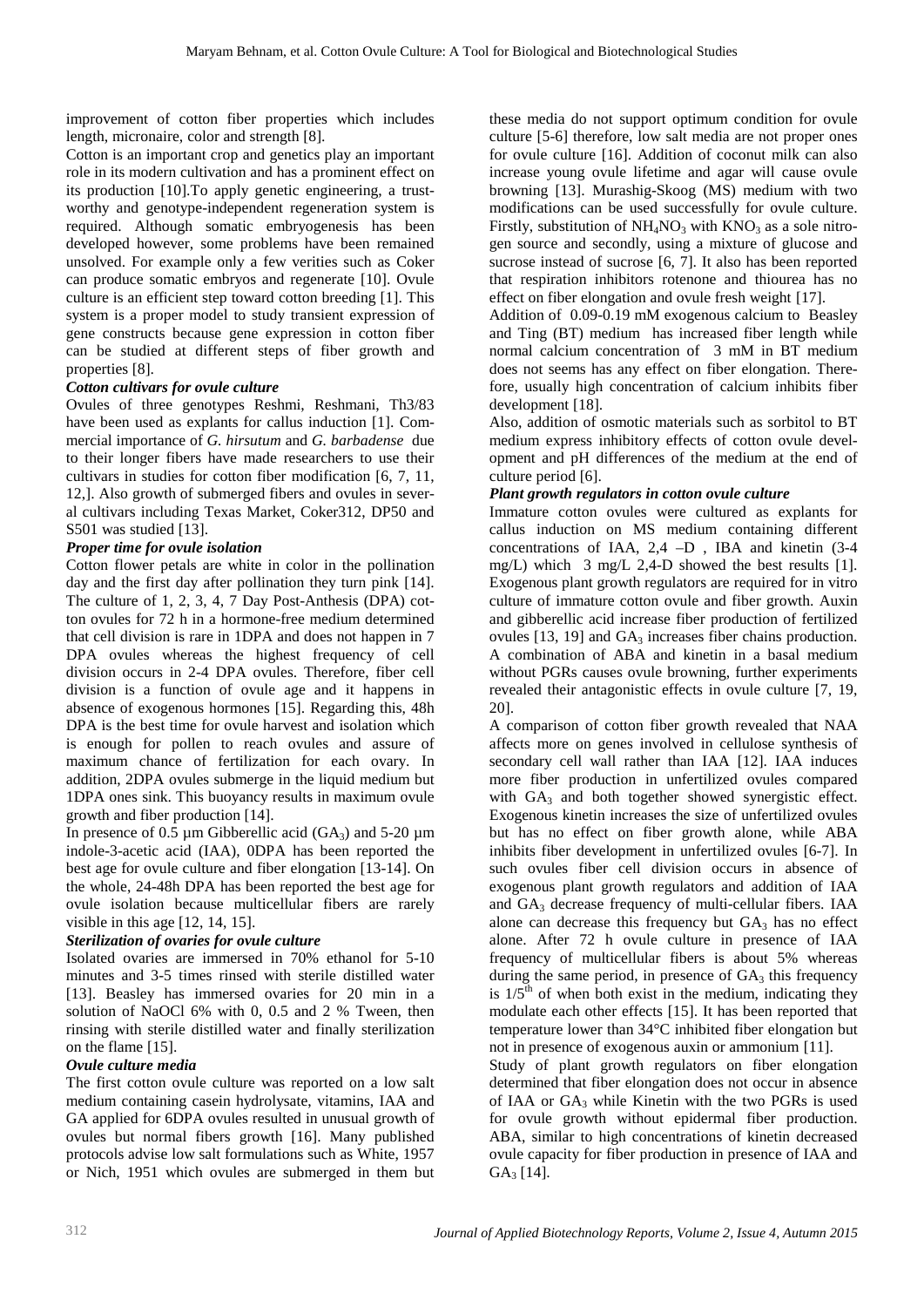improvement of cotton fiber properties which includes length, micronaire, color and strength [8].

Cotton is an important crop and genetics play an important role in its modern cultivation and has a prominent effect on its production [10].To apply genetic engineering, a trustworthy and genotype-independent regeneration system is required. Although somatic embryogenesis has been developed however, some problems have been remained unsolved. For example only a few verities such as Coker can produce somatic embryos and regenerate [10]. Ovule culture is an efficient step toward cotton breeding [1]. This system is a proper model to study transient expression of gene constructs because gene expression in cotton fiber can be studied at different steps of fiber growth and properties [8].

## *Cotton cultivars for ovule culture*

Ovules of three genotypes Reshmi, Reshmani, Th3/83 have been used as explants for callus induction [1]. Commercial importance of *G. hirsutum* and *G. barbadense* due to their longer fibers have made researchers to use their cultivars in studies for cotton fiber modification [6, 7, 11, 12,]. Also growth of submerged fibers and ovules in several cultivars including Texas Market, Coker312, DP50 and S501 was studied [13].

## *Proper time for ovule isolation*

Cotton flower petals are white in color in the pollination day and the first day after pollination they turn pink [14]. The culture of 1, 2, 3, 4, 7 Day Post-Anthesis (DPA) cotton ovules for 72 h in a hormone-free medium determined that cell division is rare in 1DPA and does not happen in 7 DPA ovules whereas the highest frequency of cell division occurs in 2-4 DPA ovules. Therefore, fiber cell division is a function of ovule age and it happens in absence of exogenous hormones [15]. Regarding this, 48h DPA is the best time for ovule harvest and isolation which is enough for pollen to reach ovules and assure of maximum chance of fertilization for each ovary. In addition, 2DPA ovules submerge in the liquid medium but 1DPA ones sink. This buoyancy results in maximum ovule growth and fiber production [14].

In presence of 0.5  $\mu$ m Gibberellic acid (GA<sub>3</sub>) and 5-20  $\mu$ m indole-3-acetic acid (IAA), 0DPA has been reported the best age for ovule culture and fiber elongation [13-14]. On the whole, 24-48h DPA has been reported the best age for ovule isolation because multicellular fibers are rarely visible in this age [12, 14, 15].

### *Sterilization of ovaries for ovule culture*

Isolated ovaries are immersed in 70% ethanol for 5-10 minutes and 3-5 times rinsed with sterile distilled water [13]. Beasley has immersed ovaries for 20 min in a solution of NaOCl 6% with 0, 0.5 and 2 % Tween, then rinsing with sterile distilled water and finally sterilization on the flame [15].

### *Ovule culture media*

The first cotton ovule culture was reported on a low salt medium containing casein hydrolysate, vitamins, IAA and GA applied for 6DPA ovules resulted in unusual growth of ovules but normal fibers growth [16]. Many published protocols advise low salt formulations such as White, 1957 or Nich, 1951 which ovules are submerged in them but

these media do not support optimum condition for ovule culture [5-6] therefore, low salt media are not proper ones for ovule culture [16]. Addition of coconut milk can also increase young ovule lifetime and agar will cause ovule browning [13]. Murashig-Skoog (MS) medium with two modifications can be used successfully for ovule culture. Firstly, substitution of  $NH<sub>4</sub>NO<sub>3</sub>$  with  $KNO<sub>3</sub>$  as a sole nitrogen source and secondly, using a mixture of glucose and sucrose instead of sucrose [6, 7]. It also has been reported that respiration inhibitors rotenone and thiourea has no effect on fiber elongation and ovule fresh weight [17].

Addition of 0.09-0.19 mM exogenous calcium to Beasley and Ting (BT) medium has increased fiber length while normal calcium concentration of 3 mM in BT medium does not seems has any effect on fiber elongation. Therefore, usually high concentration of calcium inhibits fiber development [18].

Also, addition of osmotic materials such as sorbitol to BT medium express inhibitory effects of cotton ovule development and pH differences of the medium at the end of culture period [6].

### *Plant growth regulators in cotton ovule culture*

Immature cotton ovules were cultured as explants for callus induction on MS medium containing different concentrations of IAA, 2,4 –D , IBA and kinetin (3-4 mg/L) which 3 mg/L 2,4-D showed the best results [1]. Exogenous plant growth regulators are required for in vitro culture of immature cotton ovule and fiber growth. Auxin and gibberellic acid increase fiber production of fertilized ovules  $[13, 19]$  and  $GA_3$  increases fiber chains production. A combination of ABA and kinetin in a basal medium without PGRs causes ovule browning, further experiments revealed their antagonistic effects in ovule culture [7, 19, 20].

A comparison of cotton fiber growth revealed that NAA affects more on genes involved in cellulose synthesis of secondary cell wall rather than IAA [12]. IAA induces more fiber production in unfertilized ovules compared with  $GA_3$  and both together showed synergistic effect. Exogenous kinetin increases the size of unfertilized ovules but has no effect on fiber growth alone, while ABA inhibits fiber development in unfertilized ovules [6-7]. In such ovules fiber cell division occurs in absence of exogenous plant growth regulators and addition of IAA and GA<sup>3</sup> decrease frequency of multi-cellular fibers. IAA alone can decrease this frequency but  $GA_3$  has no effect alone. After 72 h ovule culture in presence of IAA frequency of multicellular fibers is about 5% whereas during the same period, in presence of  $GA_3$  this frequency is  $1/5<sup>th</sup>$  of when both exist in the medium, indicating they modulate each other effects [15]. It has been reported that temperature lower than 34°C inhibited fiber elongation but not in presence of exogenous auxin or ammonium [11].

Study of plant growth regulators on fiber elongation determined that fiber elongation does not occur in absence of IAA or  $GA_3$  while Kinetin with the two PGRs is used for ovule growth without epidermal fiber production. ABA, similar to high concentrations of kinetin decreased ovule capacity for fiber production in presence of IAA and  $GA<sub>3</sub>$  [14].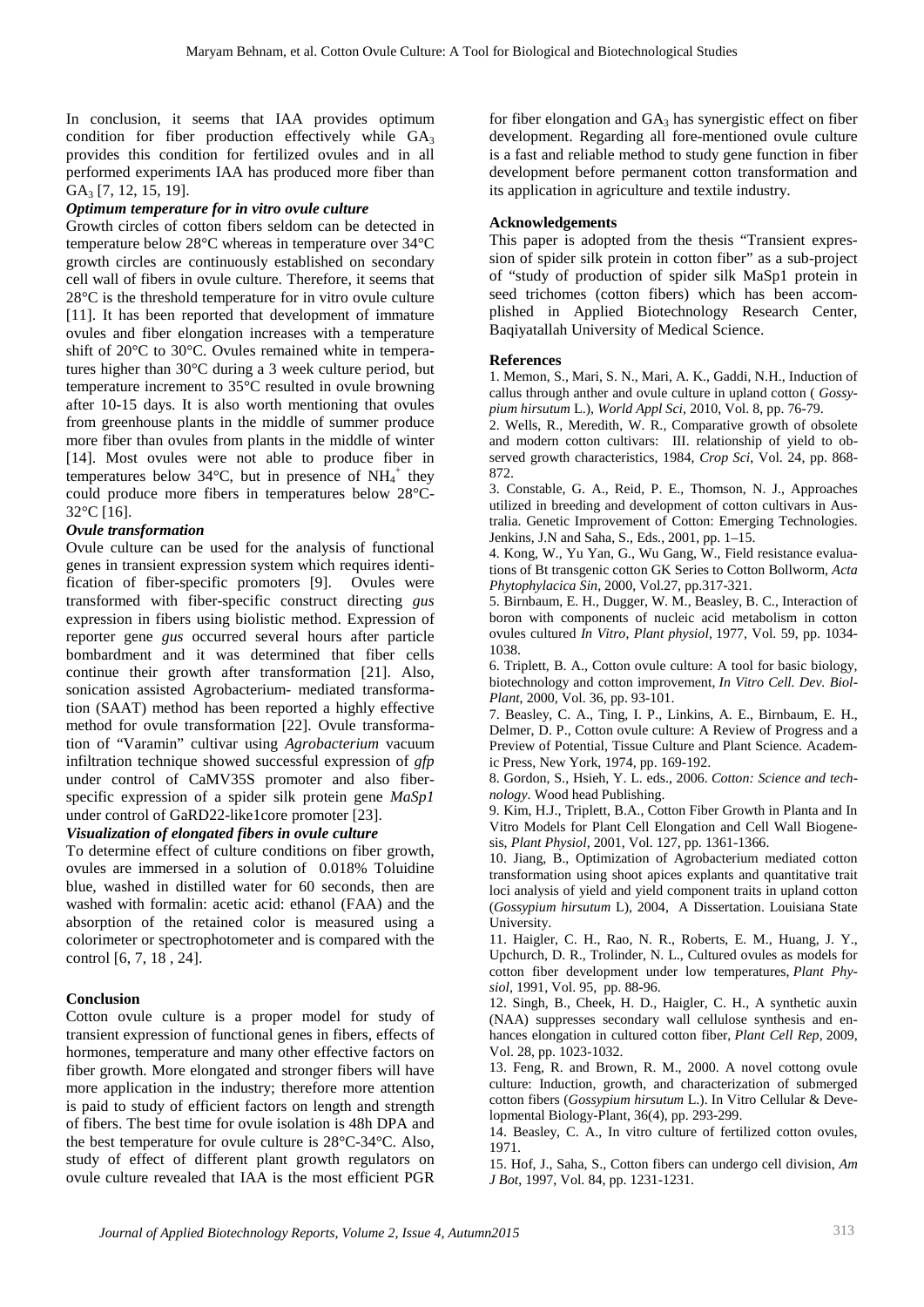In conclusion, it seems that IAA provides optimum condition for fiber production effectively while  $GA_3$ provides this condition for fertilized ovules and in all performed experiments IAA has produced more fiber than GA<sub>3</sub> [7, 12, 15, 19].

#### *Optimum temperature for in vitro ovule culture*

Growth circles of cotton fibers seldom can be detected in temperature below 28°C whereas in temperature over 34°C growth circles are continuously established on secondary cell wall of fibers in ovule culture. Therefore, it seems that 28°C is the threshold temperature for in vitro ovule culture [11]. It has been reported that development of immature ovules and fiber elongation increases with a temperature shift of 20°C to 30°C. Ovules remained white in temperatures higher than 30°C during a 3 week culture period, but temperature increment to 35°C resulted in ovule browning after 10-15 days. It is also worth mentioning that ovules from greenhouse plants in the middle of summer produce more fiber than ovules from plants in the middle of winter [14]. Most ovules were not able to produce fiber in temperatures below 34 $^{\circ}$ C, but in presence of NH<sub>4</sub><sup>+</sup> they could produce more fibers in temperatures below 28°C- 32°C [16].

### *Ovule transformation*

Ovule culture can be used for the analysis of functional genes in transient expression system which requires identification of fiber-specific promoters [9]. Ovules were transformed with fiber-specific construct directing *gus* expression in fibers using biolistic method. Expression of reporter gene *gus* occurred several hours after particle bombardment and it was determined that fiber cells continue their growth after transformation [21]. Also, sonication assisted Agrobacterium- mediated transformation (SAAT) method has been reported a highly effective method for ovule transformation [22]. Ovule transformation of "Varamin" cultivar using *Agrobacterium* vacuum infiltration technique showed successful expression of *gfp* under control of CaMV35S promoter and also fiber specific expression of a spider silk protein gene *MaSp1* under control of GaRD22-like1core promoter [23].

## *Visualization of elongated fibers in ovule culture*

To determine effect of culture conditions on fiber growth, ovules are immersed in a solution of 0.018% Toluidine blue, washed in distilled water for 60 seconds, then are washed with formalin: acetic acid: ethanol (FAA) and the absorption of the retained color is measured using a colorimeter or spectrophotometer and is compared with the control [6, 7, 18 , 24].

## **Conclusion**

Cotton ovule culture is a proper model for study of transient expression of functional genes in fibers, effects of hormones, temperature and many other effective factors on fiber growth. More elongated and stronger fibers will have more application in the industry; therefore more attention is paid to study of efficient factors on length and strength of fibers. The best time for ovule isolation is 48h DPA and the best temperature for ovule culture is 28°C-34°C. Also, study of effect of different plant growth regulators on ovule culture revealed that IAA is the most efficient PGR

for fiber elongation and  $GA_3$  has synergistic effect on fiber development. Regarding all fore-mentioned ovule culture is a fast and reliable method to study gene function in fiber development before permanent cotton transformation and its application in agriculture and textile industry.

#### **Acknowledgements**

This paper is adopted from the thesis "Transient expression of spider silk protein in cotton fiber" as a sub-project of "study of production of spider silk MaSp1 protein in seed trichomes (cotton fibers) which has been accomplished in Applied Biotechnology Research Center, Baqiyatallah University of Medical Science.

#### **References**

1. Memon, S., Mari, S. N., Mari, A. K., Gaddi, N.H., Induction of callus through anther and ovule culture in upland cotton ( *Gossypium hirsutum* L.), *World Appl Sci*, 2010, Vol. 8, pp. 76-79.

2. Wells, R., Meredith, W. R., Comparative growth of obsolete and modern cotton cultivars: III. relationship of yield to observed growth characteristics, 1984, *Crop Sci*, Vol. 24, pp. 868- 872.

3. Constable, G. A., Reid, P. E., Thomson, N. J., Approaches utilized in breeding and development of cotton cultivars in Australia. Genetic Improvement of Cotton: Emerging Technologies. Jenkins, J.N and Saha, S., Eds., 2001, pp. 1–15.

4. Kong, W., Yu Yan, G., Wu Gang, W., Field resistance evaluations of Bt transgenic cotton GK Series to Cotton Bollworm, *Acta Phytophylacica Sin*, 2000, Vol.27, pp.317-321.

5. Birnbaum, E. H., Dugger, W. M., Beasley, B. C., Interaction of boron with components of nucleic acid metabolism in cotton ovules cultured *In Vitro*, *Plant physiol,* 1977, Vol. 59, pp. 1034- 1038.

6. Triplett, B. A., Cotton ovule culture: A tool for basic biology, biotechnology and cotton improvement, *In Vitro Cell. Dev. Biol- Plant*, 2000, Vol. 36, pp. 93-101.

7. Beasley, C. A., Ting, I. P., Linkins, A. E., Birnbaum, E. H., Delmer, D. P., Cotton ovule culture: A Review of Progress and a Preview of Potential, Tissue Culture and Plant Science*.* Academic Press, New York, 1974, pp. 169-192.

8. Gordon, S., Hsieh, Y. L. eds., 2006. *Cotton: Science and technology*. Wood head Publishing.

9. Kim, H.J., Triplett, B.A., Cotton Fiber Growth in Planta and In Vitro Models for Plant Cell Elongation and Cell Wall Biogene sis, *Plant Physiol,* 2001, Vol. 127, pp. 1361-1366.

10. Jiang, B., Optimization of Agrobacterium mediated cotton transformation using shoot apices explants and quantitative trait loci analysis of yield and yield component traits in upland cotton (*Gossypium hirsutum* L), 2004, A Dissertation. Louisiana State University.

11. Haigler, C. H., Rao, N. R., Roberts, E. M., Huang, J. Y., Upchurch, D. R., Trolinder, N. L., Cultured ovules as models for cotton fiber development under low temperatures, *Plant Physiol,* 1991, Vol. 95, pp. 88-96.

12. Singh, B., Cheek, H. D., Haigler, C. H., A synthetic auxin (NAA) suppresses secondary wall cellulose synthesis and en hances elongation in cultured cotton fiber, *Plant Cell Rep*, 2009, Vol. 28, pp. 1023-1032.

13. Feng, R. and Brown, R. M., 2000. A novel cottong ovule culture: Induction, growth, and characterization of submerged cotton fibers (*Gossypium hirsutum* L.). In Vitro Cellular & Developmental Biology-Plant, 36(4), pp. 293-299.

14. Beasley, C. A., In vitro culture of fertilized cotton ovules, 1971.

15. Hof, J., Saha, S., Cotton fibers can undergo cell division, *Am J Bot*, 1997, Vol. 84, pp. 1231-1231.